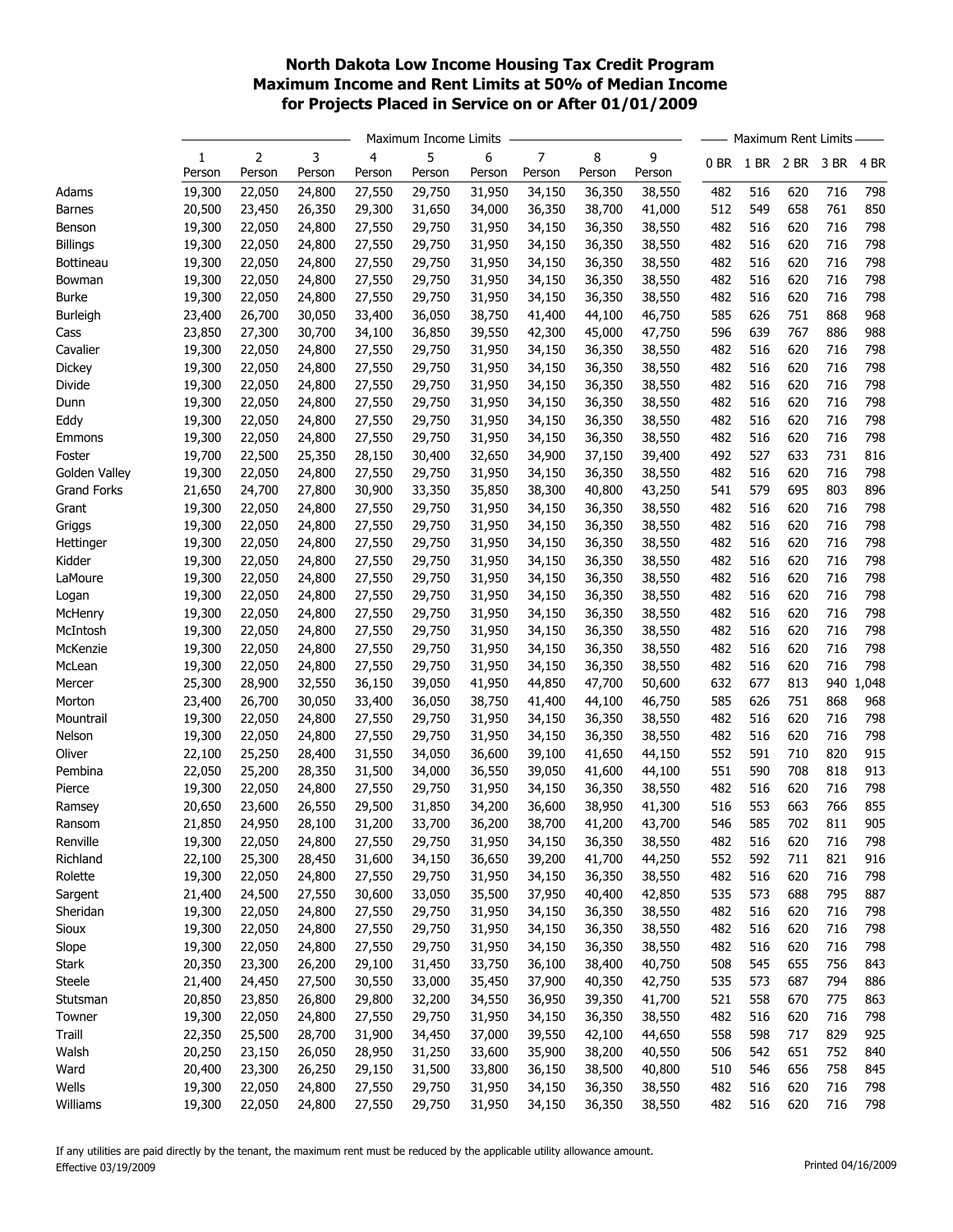## North Dakota Low Income Housing Tax Credit Program Maximum Income and Rent Limits at 50% of Median Income for Projects Placed in Service on or After 01/01/2009

|                    |        | Maximum Income Limits |        |        |        |        |        | Maximum Rent Limits |        |      |      |      |      |       |
|--------------------|--------|-----------------------|--------|--------|--------|--------|--------|---------------------|--------|------|------|------|------|-------|
|                    | 1      | 2                     | 3      | 4      | 5      | 6      | 7      | 8                   | 9      | 0 BR | 1 BR | 2 BR | 3 BR | 4 BR  |
|                    | Person | Person                | Person | Person | Person | Person | Person | Person              | Person |      |      |      |      |       |
| Adams              | 19,300 | 22,050                | 24,800 | 27,550 | 29,750 | 31,950 | 34,150 | 36,350              | 38,550 | 482  | 516  | 620  | 716  | 798   |
| <b>Barnes</b>      | 20,500 | 23,450                | 26,350 | 29,300 | 31,650 | 34,000 | 36,350 | 38,700              | 41,000 | 512  | 549  | 658  | 761  | 850   |
| Benson             | 19,300 | 22,050                | 24,800 | 27,550 | 29,750 | 31,950 | 34,150 | 36,350              | 38,550 | 482  | 516  | 620  | 716  | 798   |
| <b>Billings</b>    | 19,300 | 22,050                | 24,800 | 27,550 | 29,750 | 31,950 | 34,150 | 36,350              | 38,550 | 482  | 516  | 620  | 716  | 798   |
| Bottineau          | 19,300 | 22,050                | 24,800 | 27,550 | 29,750 | 31,950 | 34,150 | 36,350              | 38,550 | 482  | 516  | 620  | 716  | 798   |
| Bowman             | 19,300 | 22,050                | 24,800 | 27,550 | 29,750 | 31,950 | 34,150 | 36,350              | 38,550 | 482  | 516  | 620  | 716  | 798   |
| <b>Burke</b>       | 19,300 | 22,050                | 24,800 | 27,550 | 29,750 | 31,950 | 34,150 | 36,350              | 38,550 | 482  | 516  | 620  | 716  | 798   |
| Burleigh           | 23,400 | 26,700                | 30,050 | 33,400 | 36,050 | 38,750 | 41,400 | 44,100              | 46,750 | 585  | 626  | 751  | 868  | 968   |
| Cass               | 23,850 | 27,300                | 30,700 | 34,100 | 36,850 | 39,550 | 42,300 | 45,000              | 47,750 | 596  | 639  | 767  | 886  | 988   |
| Cavalier           | 19,300 | 22,050                | 24,800 | 27,550 | 29,750 | 31,950 | 34,150 | 36,350              | 38,550 | 482  | 516  | 620  | 716  | 798   |
| Dickey             | 19,300 | 22,050                | 24,800 | 27,550 | 29,750 | 31,950 | 34,150 | 36,350              | 38,550 | 482  | 516  | 620  | 716  | 798   |
| Divide             | 19,300 | 22,050                | 24,800 | 27,550 | 29,750 | 31,950 | 34,150 | 36,350              | 38,550 | 482  | 516  | 620  | 716  | 798   |
| Dunn               | 19,300 | 22,050                | 24,800 | 27,550 | 29,750 | 31,950 | 34,150 | 36,350              | 38,550 | 482  | 516  | 620  | 716  | 798   |
| Eddy               | 19,300 | 22,050                | 24,800 | 27,550 | 29,750 | 31,950 | 34,150 | 36,350              | 38,550 | 482  | 516  | 620  | 716  | 798   |
| Emmons             | 19,300 | 22,050                | 24,800 | 27,550 | 29,750 | 31,950 | 34,150 | 36,350              | 38,550 | 482  | 516  | 620  | 716  | 798   |
| Foster             | 19,700 | 22,500                | 25,350 | 28,150 | 30,400 | 32,650 | 34,900 | 37,150              | 39,400 | 492  | 527  | 633  | 731  | 816   |
| Golden Valley      | 19,300 | 22,050                | 24,800 | 27,550 | 29,750 | 31,950 | 34,150 | 36,350              | 38,550 | 482  | 516  | 620  | 716  | 798   |
| <b>Grand Forks</b> | 21,650 | 24,700                | 27,800 | 30,900 | 33,350 | 35,850 | 38,300 | 40,800              | 43,250 | 541  | 579  | 695  | 803  | 896   |
| Grant              | 19,300 | 22,050                | 24,800 | 27,550 | 29,750 | 31,950 | 34,150 | 36,350              | 38,550 | 482  | 516  | 620  | 716  | 798   |
| Griggs             | 19,300 | 22,050                | 24,800 | 27,550 | 29,750 | 31,950 | 34,150 | 36,350              | 38,550 | 482  | 516  | 620  | 716  | 798   |
| Hettinger          | 19,300 | 22,050                | 24,800 | 27,550 | 29,750 | 31,950 | 34,150 | 36,350              | 38,550 | 482  | 516  | 620  | 716  | 798   |
| Kidder             | 19,300 | 22,050                | 24,800 | 27,550 | 29,750 | 31,950 | 34,150 | 36,350              | 38,550 | 482  | 516  | 620  | 716  | 798   |
| LaMoure            | 19,300 | 22,050                | 24,800 | 27,550 | 29,750 | 31,950 | 34,150 | 36,350              | 38,550 | 482  | 516  | 620  | 716  | 798   |
| Logan              | 19,300 | 22,050                | 24,800 | 27,550 | 29,750 | 31,950 | 34,150 | 36,350              | 38,550 | 482  | 516  | 620  | 716  | 798   |
| McHenry            | 19,300 | 22,050                | 24,800 | 27,550 | 29,750 | 31,950 | 34,150 | 36,350              | 38,550 | 482  | 516  | 620  | 716  | 798   |
| McIntosh           | 19,300 | 22,050                | 24,800 | 27,550 | 29,750 | 31,950 | 34,150 | 36,350              | 38,550 | 482  | 516  | 620  | 716  | 798   |
| McKenzie           | 19,300 | 22,050                | 24,800 | 27,550 | 29,750 | 31,950 | 34,150 | 36,350              | 38,550 | 482  | 516  | 620  | 716  | 798   |
| McLean             | 19,300 | 22,050                | 24,800 | 27,550 | 29,750 | 31,950 | 34,150 | 36,350              | 38,550 | 482  | 516  | 620  | 716  | 798   |
| Mercer             | 25,300 | 28,900                | 32,550 | 36,150 | 39,050 | 41,950 | 44,850 | 47,700              | 50,600 | 632  | 677  | 813  | 940  | 1,048 |
| Morton             | 23,400 | 26,700                | 30,050 | 33,400 | 36,050 | 38,750 | 41,400 | 44,100              | 46,750 | 585  | 626  | 751  | 868  | 968   |
| Mountrail          | 19,300 | 22,050                | 24,800 | 27,550 | 29,750 | 31,950 | 34,150 | 36,350              | 38,550 | 482  | 516  | 620  | 716  | 798   |
| Nelson             | 19,300 | 22,050                | 24,800 | 27,550 | 29,750 | 31,950 | 34,150 | 36,350              | 38,550 | 482  | 516  | 620  | 716  | 798   |
| Oliver             | 22,100 | 25,250                | 28,400 | 31,550 | 34,050 | 36,600 | 39,100 | 41,650              | 44,150 | 552  | 591  | 710  | 820  | 915   |
| Pembina            | 22,050 | 25,200                | 28,350 | 31,500 | 34,000 | 36,550 | 39,050 | 41,600              | 44,100 | 551  | 590  | 708  | 818  | 913   |
| Pierce             | 19,300 | 22,050                | 24,800 | 27,550 | 29,750 | 31,950 | 34,150 | 36,350              | 38,550 | 482  | 516  | 620  | 716  | 798   |
| Ramsey             | 20,650 | 23,600                | 26,550 | 29,500 | 31,850 | 34,200 | 36,600 | 38,950              | 41,300 | 516  | 553  | 663  | 766  | 855   |
| Ransom             | 21,850 | 24,950                | 28,100 | 31,200 | 33,700 | 36,200 | 38,700 | 41,200              | 43,700 | 546  | 585  | 702  | 811  | 905   |
| Renville           | 19,300 | 22,050                | 24,800 | 27,550 | 29,750 | 31,950 | 34,150 | 36,350              | 38,550 | 482  | 516  | 620  | 716  | 798   |
| Richland           | 22,100 | 25,300                | 28,450 | 31,600 | 34,150 | 36,650 | 39,200 | 41,700              | 44,250 | 552  | 592  | 711  | 821  | 916   |
| Rolette            | 19,300 | 22,050                | 24,800 | 27,550 | 29,750 | 31,950 | 34,150 | 36,350              | 38,550 | 482  | 516  | 620  | 716  | 798   |
| Sargent            | 21,400 | 24,500                | 27,550 | 30,600 | 33,050 | 35,500 | 37,950 | 40,400              | 42,850 | 535  | 573  | 688  | 795  | 887   |
| Sheridan           | 19,300 | 22,050                | 24,800 | 27,550 | 29,750 | 31,950 | 34,150 | 36,350              | 38,550 | 482  | 516  | 620  | 716  | 798   |
| Sioux              | 19,300 | 22,050                | 24,800 | 27,550 | 29,750 | 31,950 | 34,150 | 36,350              | 38,550 | 482  | 516  | 620  | 716  | 798   |
| Slope              | 19,300 | 22,050                | 24,800 | 27,550 | 29,750 | 31,950 | 34,150 | 36,350              | 38,550 | 482  | 516  | 620  | 716  | 798   |
| Stark              | 20,350 | 23,300                | 26,200 | 29,100 | 31,450 | 33,750 | 36,100 | 38,400              | 40,750 | 508  | 545  | 655  | 756  | 843   |
| Steele             | 21,400 | 24,450                | 27,500 | 30,550 | 33,000 | 35,450 | 37,900 | 40,350              | 42,750 | 535  | 573  | 687  | 794  | 886   |
| Stutsman           | 20,850 | 23,850                | 26,800 | 29,800 | 32,200 | 34,550 | 36,950 | 39,350              | 41,700 | 521  | 558  | 670  | 775  | 863   |
| Towner             | 19,300 | 22,050                | 24,800 | 27,550 | 29,750 | 31,950 | 34,150 | 36,350              | 38,550 | 482  | 516  | 620  | 716  | 798   |
| Traill             | 22,350 | 25,500                | 28,700 | 31,900 | 34,450 | 37,000 | 39,550 | 42,100              | 44,650 | 558  | 598  | 717  | 829  | 925   |
|                    |        |                       |        |        |        |        |        |                     |        | 506  | 542  | 651  | 752  | 840   |
| Walsh              | 20,250 | 23,150                | 26,050 | 28,950 | 31,250 | 33,600 | 35,900 | 38,200              | 40,550 |      |      | 656  | 758  | 845   |
| Ward               | 20,400 | 23,300                | 26,250 | 29,150 | 31,500 | 33,800 | 36,150 | 38,500              | 40,800 | 510  | 546  |      |      |       |
| Wells              | 19,300 | 22,050                | 24,800 | 27,550 | 29,750 | 31,950 | 34,150 | 36,350              | 38,550 | 482  | 516  | 620  | 716  | 798   |
| Williams           | 19,300 | 22,050                | 24,800 | 27,550 | 29,750 | 31,950 | 34,150 | 36,350              | 38,550 | 482  | 516  | 620  | 716  | 798   |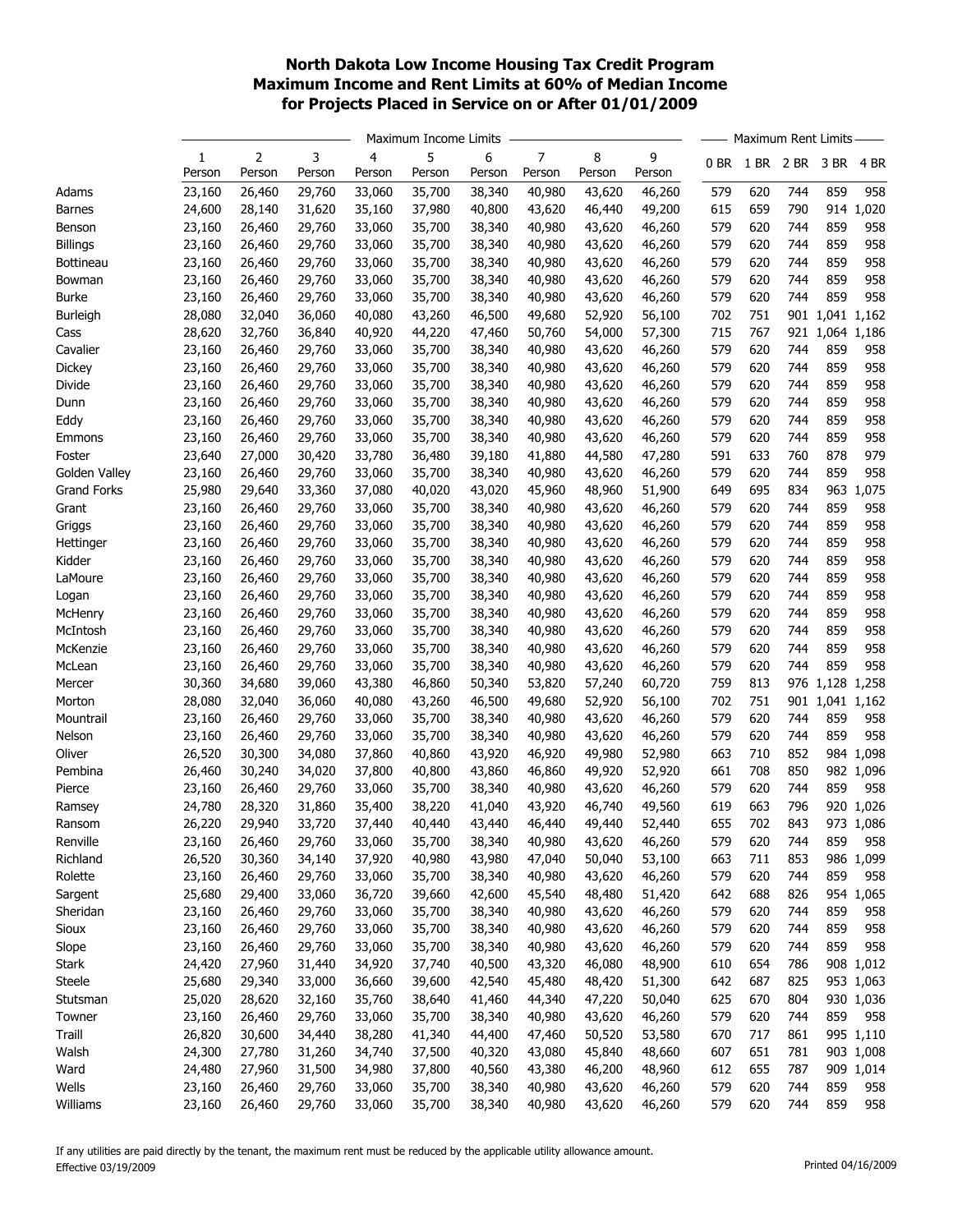## North Dakota Low Income Housing Tax Credit Program Maximum Income and Rent Limits at 60% of Median Income for Projects Placed in Service on or After 01/01/2009

|                    |                  |                  |        |                  |                  | Maximum Income Limits |        |        |        | Maximum Rent Limits |            |           |                 |           |  |
|--------------------|------------------|------------------|--------|------------------|------------------|-----------------------|--------|--------|--------|---------------------|------------|-----------|-----------------|-----------|--|
|                    | 1                | 2                | 3      | 4                | 5                | 6                     | 7      | 8      | 9      | 0 BR                |            | 1 BR 2 BR | 3 BR            | 4 BR      |  |
|                    | Person           | Person           | Person | Person           | Person           | Person                | Person | Person | Person |                     |            |           |                 |           |  |
| Adams              | 23,160           | 26,460           | 29,760 | 33,060           | 35,700           | 38,340                | 40,980 | 43,620 | 46,260 | 579                 | 620        | 744       | 859             | 958       |  |
| <b>Barnes</b>      | 24,600           | 28,140           | 31,620 | 35,160           | 37,980           | 40,800                | 43,620 | 46,440 | 49,200 | 615                 | 659        | 790       |                 | 914 1,020 |  |
| Benson             | 23,160           | 26,460           | 29,760 | 33,060           | 35,700           | 38,340                | 40,980 | 43,620 | 46,260 | 579                 | 620        | 744       | 859             | 958       |  |
| <b>Billings</b>    | 23,160           | 26,460           | 29,760 | 33,060           | 35,700           | 38,340                | 40,980 | 43,620 | 46,260 | 579                 | 620        | 744       | 859             | 958       |  |
| Bottineau          | 23,160           | 26,460           | 29,760 | 33,060           | 35,700           | 38,340                | 40,980 | 43,620 | 46,260 | 579                 | 620        | 744       | 859             | 958       |  |
| Bowman             | 23,160           | 26,460           | 29,760 | 33,060           | 35,700           | 38,340                | 40,980 | 43,620 | 46,260 | 579                 | 620        | 744       | 859             | 958       |  |
| <b>Burke</b>       | 23,160           | 26,460           | 29,760 | 33,060           | 35,700           | 38,340                | 40,980 | 43,620 | 46,260 | 579                 | 620        | 744       | 859             | 958       |  |
| Burleigh           | 28,080           | 32,040           | 36,060 | 40,080           | 43,260           | 46,500                | 49,680 | 52,920 | 56,100 | 702                 | 751        |           | 901 1,041 1,162 |           |  |
| Cass               | 28,620           | 32,760           | 36,840 | 40,920           | 44,220           | 47,460                | 50,760 | 54,000 | 57,300 | 715                 | 767        |           | 921 1,064       | 1,186     |  |
| Cavalier           | 23,160           | 26,460           | 29,760 | 33,060           | 35,700           | 38,340                | 40,980 | 43,620 | 46,260 | 579                 | 620        | 744       | 859             | 958       |  |
| Dickey             | 23,160           | 26,460           | 29,760 | 33,060           | 35,700           | 38,340                | 40,980 | 43,620 | 46,260 | 579                 | 620        | 744       | 859             | 958       |  |
| Divide             | 23,160           | 26,460           | 29,760 | 33,060           | 35,700           | 38,340                | 40,980 | 43,620 | 46,260 | 579                 | 620        | 744       | 859             | 958       |  |
| Dunn               | 23,160           | 26,460           | 29,760 | 33,060           | 35,700           | 38,340                | 40,980 | 43,620 | 46,260 | 579                 | 620        | 744       | 859             | 958       |  |
| Eddy               | 23,160           | 26,460           | 29,760 | 33,060           | 35,700           | 38,340                | 40,980 | 43,620 | 46,260 | 579                 | 620        | 744       | 859             | 958       |  |
| Emmons             | 23,160           | 26,460           | 29,760 | 33,060           | 35,700           | 38,340                | 40,980 | 43,620 | 46,260 | 579                 | 620        | 744       | 859             | 958       |  |
| Foster             | 23,640           | 27,000           | 30,420 | 33,780           | 36,480           | 39,180                | 41,880 | 44,580 | 47,280 | 591                 | 633        | 760       | 878             | 979       |  |
| Golden Valley      | 23,160           | 26,460           | 29,760 | 33,060           | 35,700           | 38,340                | 40,980 | 43,620 | 46,260 | 579                 | 620        | 744       | 859             | 958       |  |
| <b>Grand Forks</b> | 25,980           | 29,640           | 33,360 | 37,080           | 40,020           | 43,020                | 45,960 | 48,960 | 51,900 | 649                 | 695        | 834       | 963             | 1,075     |  |
| Grant              | 23,160           | 26,460           | 29,760 | 33,060           | 35,700           | 38,340                | 40,980 | 43,620 | 46,260 | 579                 | 620        | 744       | 859             | 958       |  |
| Griggs             | 23,160           | 26,460           | 29,760 | 33,060           | 35,700           | 38,340                | 40,980 | 43,620 | 46,260 | 579                 | 620        | 744       | 859             | 958       |  |
| Hettinger          | 23,160           | 26,460           | 29,760 | 33,060           | 35,700           | 38,340                | 40,980 | 43,620 | 46,260 | 579                 | 620        | 744       | 859             | 958       |  |
| Kidder             | 23,160           | 26,460           | 29,760 | 33,060           | 35,700           | 38,340                | 40,980 | 43,620 | 46,260 | 579                 | 620        | 744       | 859             | 958       |  |
| LaMoure            | 23,160           | 26,460           | 29,760 | 33,060           | 35,700           | 38,340                | 40,980 | 43,620 | 46,260 | 579                 | 620        | 744       | 859             | 958       |  |
| Logan              | 23,160           | 26,460           | 29,760 | 33,060           | 35,700           | 38,340                | 40,980 | 43,620 | 46,260 | 579                 | 620        | 744       | 859             | 958       |  |
| McHenry            | 23,160           | 26,460           | 29,760 | 33,060           | 35,700           | 38,340                | 40,980 | 43,620 | 46,260 | 579                 | 620        | 744       | 859             | 958       |  |
| McIntosh           | 23,160           | 26,460           | 29,760 | 33,060           | 35,700           | 38,340                | 40,980 | 43,620 | 46,260 | 579                 | 620        | 744       | 859             | 958       |  |
| McKenzie           | 23,160           | 26,460           | 29,760 | 33,060           | 35,700           | 38,340                | 40,980 | 43,620 | 46,260 | 579                 | 620        | 744       | 859             | 958       |  |
| McLean             | 23,160           | 26,460           | 29,760 | 33,060           | 35,700           | 38,340                | 40,980 | 43,620 | 46,260 | 579                 | 620        | 744       | 859             | 958       |  |
| Mercer             | 30,360           | 34,680           | 39,060 | 43,380           | 46,860           | 50,340                | 53,820 | 57,240 | 60,720 | 759                 | 813        |           | 976 1,128       | 1,258     |  |
| Morton             | 28,080           | 32,040           | 36,060 | 40,080           | 43,260           | 46,500                | 49,680 | 52,920 | 56,100 | 702                 | 751        |           | 901 1,041       | 1,162     |  |
| Mountrail          | 23,160           | 26,460           | 29,760 | 33,060           | 35,700           | 38,340                | 40,980 | 43,620 | 46,260 | 579                 | 620        | 744       | 859             | 958       |  |
| Nelson             | 23,160           | 26,460           | 29,760 | 33,060           | 35,700           | 38,340                | 40,980 | 43,620 | 46,260 | 579                 | 620        | 744       | 859             | 958       |  |
| Oliver             | 26,520           | 30,300           | 34,080 | 37,860           | 40,860           | 43,920                | 46,920 | 49,980 | 52,980 | 663                 | 710        | 852       | 984             | 1,098     |  |
|                    |                  |                  |        |                  | 40,800           |                       |        |        |        | 661                 | 708        | 850       |                 |           |  |
| Pembina            | 26,460           | 30,240           | 34,020 | 37,800<br>33,060 | 35,700           | 43,860                | 46,860 | 49,920 | 52,920 | 579                 |            | 744       | 859             | 982 1,096 |  |
| Pierce             | 23,160           | 26,460           | 29,760 |                  |                  | 38,340                | 40,980 | 43,620 | 46,260 |                     | 620<br>663 | 796       |                 | 958       |  |
| Ramsey             | 24,780           | 28,320<br>29,940 | 31,860 | 35,400           | 38,220<br>40,440 | 41,040                | 43,920 | 46,740 | 49,560 | 619<br>655          | 702        | 843       | 920             | 1,026     |  |
| Ransom             | 26,220           |                  | 33,720 | 37,440           |                  | 43,440                | 46,440 | 49,440 | 52,440 |                     |            |           |                 | 973 1,086 |  |
| Renville           | 23,160<br>26,520 | 26,460           | 29,760 | 33,060           | 35,700           | 38,340                | 40,980 | 43,620 | 46,260 | 579                 | 620        | 744       | 859             | 958       |  |
| Richland           |                  | 30,360           | 34,140 | 37,920           | 40,980           | 43,980                | 47,040 | 50,040 | 53,100 | 663                 | 711        | 853       | 986<br>859      | 1,099     |  |
| Rolette            | 23,160           | 26,460           | 29,760 | 33,060           | 35,700           | 38,340                | 40,980 | 43,620 | 46,260 | 579                 | 620        | 744       |                 | 958       |  |
| Sargent            | 25,680           | 29,400           | 33,060 | 36,720           | 39,660           | 42,600                | 45,540 | 48,480 | 51,420 | 642                 | 688        | 826       | 954             | 1,065     |  |
| Sheridan           | 23,160           | 26,460           | 29,760 | 33,060           | 35,700           | 38,340                | 40,980 | 43,620 | 46,260 | 579                 | 620        | 744       | 859             | 958       |  |
| Sioux              | 23,160           | 26,460           | 29,760 | 33,060           | 35,700           | 38,340                | 40,980 | 43,620 | 46,260 | 579                 | 620        | 744       | 859             | 958       |  |
| Slope              | 23,160           | 26,460           | 29,760 | 33,060           | 35,700           | 38,340                | 40,980 | 43,620 | 46,260 | 579                 | 620        | 744       | 859             | 958       |  |
| <b>Stark</b>       | 24,420           | 27,960           | 31,440 | 34,920           | 37,740           | 40,500                | 43,320 | 46,080 | 48,900 | 610                 | 654        | 786       |                 | 908 1,012 |  |
| Steele             | 25,680           | 29,340           | 33,000 | 36,660           | 39,600           | 42,540                | 45,480 | 48,420 | 51,300 | 642                 | 687        | 825       |                 | 953 1,063 |  |
| Stutsman           | 25,020           | 28,620           | 32,160 | 35,760           | 38,640           | 41,460                | 44,340 | 47,220 | 50,040 | 625                 | 670        | 804       |                 | 930 1,036 |  |
| Towner             | 23,160           | 26,460           | 29,760 | 33,060           | 35,700           | 38,340                | 40,980 | 43,620 | 46,260 | 579                 | 620        | 744       | 859             | 958       |  |
| Traill             | 26,820           | 30,600           | 34,440 | 38,280           | 41,340           | 44,400                | 47,460 | 50,520 | 53,580 | 670                 | 717        | 861       |                 | 995 1,110 |  |
| Walsh              | 24,300           | 27,780           | 31,260 | 34,740           | 37,500           | 40,320                | 43,080 | 45,840 | 48,660 | 607                 | 651        | 781       |                 | 903 1,008 |  |
| Ward               | 24,480           | 27,960           | 31,500 | 34,980           | 37,800           | 40,560                | 43,380 | 46,200 | 48,960 | 612                 | 655        | 787       |                 | 909 1,014 |  |
| Wells              | 23,160           | 26,460           | 29,760 | 33,060           | 35,700           | 38,340                | 40,980 | 43,620 | 46,260 | 579                 | 620        | 744       | 859             | 958       |  |
| Williams           | 23,160           | 26,460           | 29,760 | 33,060           | 35,700           | 38,340                | 40,980 | 43,620 | 46,260 | 579                 | 620        | 744       | 859             | 958       |  |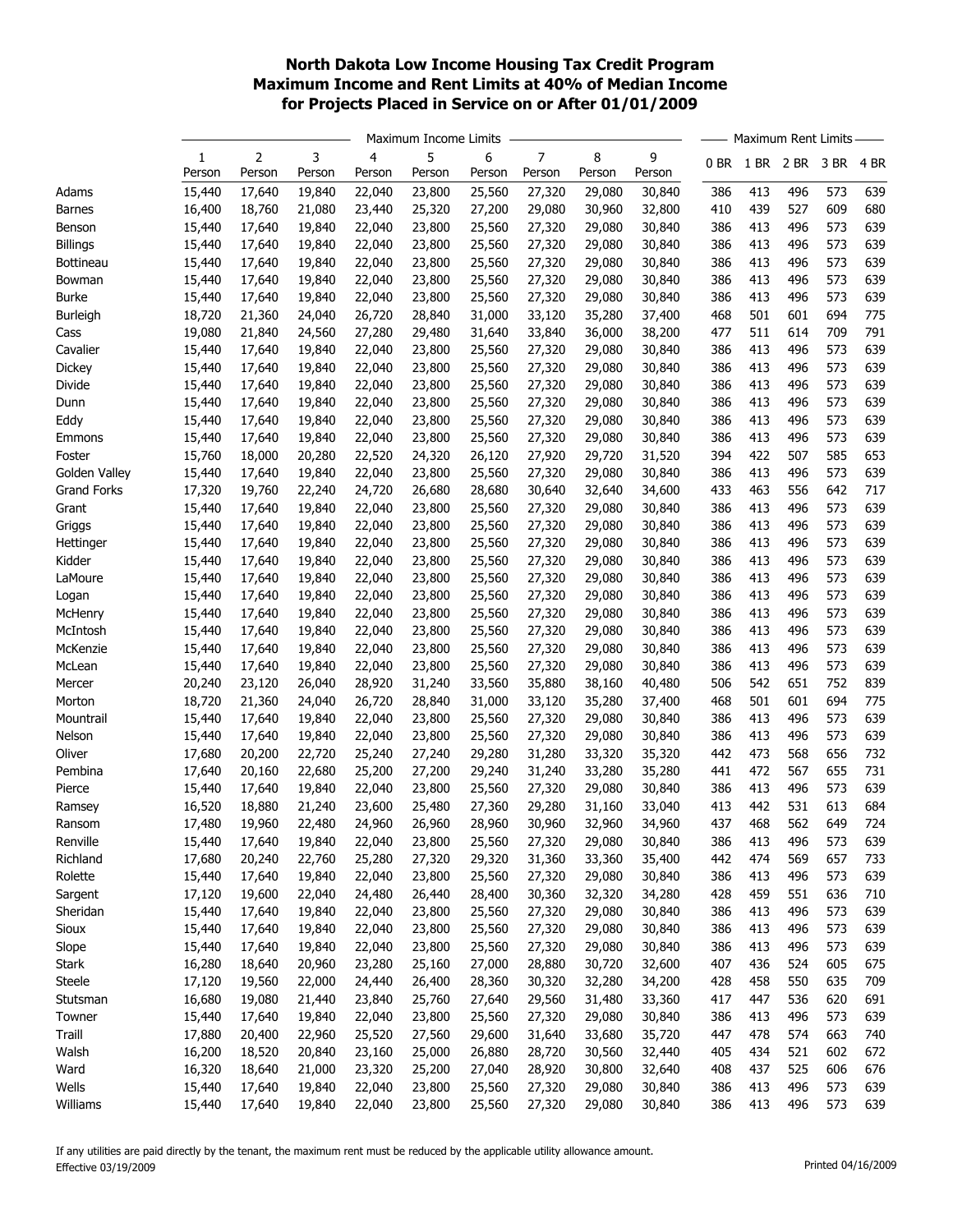## North Dakota Low Income Housing Tax Credit Program Maximum Income and Rent Limits at 40% of Median Income for Projects Placed in Service on or After 01/01/2009

|                    |        |        |        | Maximum Income Limits |        |        |        | Maximum Rent Limits |        |      |      |      |      |      |
|--------------------|--------|--------|--------|-----------------------|--------|--------|--------|---------------------|--------|------|------|------|------|------|
|                    | 1      | 2      | 3      | 4                     | 5      | 6      | 7      | 8                   | 9      | 0 BR | 1 BR | 2 BR | 3 BR | 4 BR |
|                    | Person | Person | Person | Person                | Person | Person | Person | Person              | Person |      |      |      |      |      |
| Adams              | 15,440 | 17,640 | 19,840 | 22,040                | 23,800 | 25,560 | 27,320 | 29,080              | 30,840 | 386  | 413  | 496  | 573  | 639  |
| <b>Barnes</b>      | 16,400 | 18,760 | 21,080 | 23,440                | 25,320 | 27,200 | 29,080 | 30,960              | 32,800 | 410  | 439  | 527  | 609  | 680  |
| Benson             | 15,440 | 17,640 | 19,840 | 22,040                | 23,800 | 25,560 | 27,320 | 29,080              | 30,840 | 386  | 413  | 496  | 573  | 639  |
| <b>Billings</b>    | 15,440 | 17,640 | 19,840 | 22,040                | 23,800 | 25,560 | 27,320 | 29,080              | 30,840 | 386  | 413  | 496  | 573  | 639  |
| Bottineau          | 15,440 | 17,640 | 19,840 | 22,040                | 23,800 | 25,560 | 27,320 | 29,080              | 30,840 | 386  | 413  | 496  | 573  | 639  |
| Bowman             | 15,440 | 17,640 | 19,840 | 22,040                | 23,800 | 25,560 | 27,320 | 29,080              | 30,840 | 386  | 413  | 496  | 573  | 639  |
| <b>Burke</b>       | 15,440 | 17,640 | 19,840 | 22,040                | 23,800 | 25,560 | 27,320 | 29,080              | 30,840 | 386  | 413  | 496  | 573  | 639  |
| Burleigh           | 18,720 | 21,360 | 24,040 | 26,720                | 28,840 | 31,000 | 33,120 | 35,280              | 37,400 | 468  | 501  | 601  | 694  | 775  |
| Cass               | 19,080 | 21,840 | 24,560 | 27,280                | 29,480 | 31,640 | 33,840 | 36,000              | 38,200 | 477  | 511  | 614  | 709  | 791  |
| Cavalier           | 15,440 | 17,640 | 19,840 | 22,040                | 23,800 | 25,560 | 27,320 | 29,080              | 30,840 | 386  | 413  | 496  | 573  | 639  |
| Dickey             | 15,440 | 17,640 | 19,840 | 22,040                | 23,800 | 25,560 | 27,320 | 29,080              | 30,840 | 386  | 413  | 496  | 573  | 639  |
| Divide             | 15,440 | 17,640 | 19,840 | 22,040                | 23,800 | 25,560 | 27,320 | 29,080              | 30,840 | 386  | 413  | 496  | 573  | 639  |
| Dunn               | 15,440 | 17,640 | 19,840 | 22,040                | 23,800 | 25,560 | 27,320 | 29,080              | 30,840 | 386  | 413  | 496  | 573  | 639  |
| Eddy               | 15,440 | 17,640 | 19,840 | 22,040                | 23,800 | 25,560 | 27,320 | 29,080              | 30,840 | 386  | 413  | 496  | 573  | 639  |
| Emmons             | 15,440 | 17,640 | 19,840 | 22,040                | 23,800 | 25,560 | 27,320 | 29,080              | 30,840 | 386  | 413  | 496  | 573  | 639  |
| Foster             | 15,760 | 18,000 | 20,280 | 22,520                | 24,320 | 26,120 | 27,920 | 29,720              | 31,520 | 394  | 422  | 507  | 585  | 653  |
| Golden Valley      | 15,440 | 17,640 | 19,840 | 22,040                | 23,800 | 25,560 | 27,320 | 29,080              | 30,840 | 386  | 413  | 496  | 573  | 639  |
| <b>Grand Forks</b> | 17,320 | 19,760 | 22,240 | 24,720                | 26,680 | 28,680 | 30,640 | 32,640              | 34,600 | 433  | 463  | 556  | 642  | 717  |
| Grant              | 15,440 | 17,640 | 19,840 | 22,040                | 23,800 | 25,560 | 27,320 | 29,080              | 30,840 | 386  | 413  | 496  | 573  | 639  |
| Griggs             | 15,440 | 17,640 | 19,840 | 22,040                | 23,800 | 25,560 | 27,320 | 29,080              | 30,840 | 386  | 413  | 496  | 573  | 639  |
| Hettinger          | 15,440 | 17,640 | 19,840 | 22,040                | 23,800 | 25,560 | 27,320 | 29,080              | 30,840 | 386  | 413  | 496  | 573  | 639  |
| Kidder             | 15,440 | 17,640 | 19,840 | 22,040                | 23,800 | 25,560 | 27,320 | 29,080              | 30,840 | 386  | 413  | 496  | 573  | 639  |
| LaMoure            | 15,440 | 17,640 | 19,840 | 22,040                | 23,800 | 25,560 | 27,320 | 29,080              | 30,840 | 386  | 413  | 496  | 573  | 639  |
| Logan              | 15,440 | 17,640 | 19,840 | 22,040                | 23,800 | 25,560 | 27,320 | 29,080              | 30,840 | 386  | 413  | 496  | 573  | 639  |
| McHenry            | 15,440 | 17,640 | 19,840 | 22,040                | 23,800 | 25,560 | 27,320 | 29,080              | 30,840 | 386  | 413  | 496  | 573  | 639  |
| McIntosh           | 15,440 | 17,640 | 19,840 | 22,040                | 23,800 | 25,560 | 27,320 | 29,080              | 30,840 | 386  | 413  | 496  | 573  | 639  |
| McKenzie           | 15,440 | 17,640 | 19,840 | 22,040                | 23,800 | 25,560 | 27,320 | 29,080              | 30,840 | 386  | 413  | 496  | 573  | 639  |
| McLean             | 15,440 | 17,640 | 19,840 | 22,040                | 23,800 | 25,560 | 27,320 | 29,080              | 30,840 | 386  | 413  | 496  | 573  | 639  |
| Mercer             | 20,240 | 23,120 | 26,040 | 28,920                | 31,240 | 33,560 | 35,880 | 38,160              | 40,480 | 506  | 542  | 651  | 752  | 839  |
| Morton             | 18,720 | 21,360 | 24,040 | 26,720                | 28,840 | 31,000 | 33,120 | 35,280              | 37,400 | 468  | 501  | 601  | 694  | 775  |
| Mountrail          | 15,440 | 17,640 | 19,840 | 22,040                | 23,800 | 25,560 | 27,320 | 29,080              | 30,840 | 386  | 413  | 496  | 573  | 639  |
| Nelson             | 15,440 | 17,640 | 19,840 | 22,040                | 23,800 | 25,560 | 27,320 | 29,080              | 30,840 | 386  | 413  | 496  | 573  | 639  |
| Oliver             | 17,680 | 20,200 | 22,720 | 25,240                | 27,240 | 29,280 | 31,280 | 33,320              | 35,320 | 442  | 473  | 568  | 656  | 732  |
| Pembina            | 17,640 | 20,160 | 22,680 | 25,200                | 27,200 | 29,240 | 31,240 | 33,280              | 35,280 | 441  | 472  | 567  | 655  | 731  |
| Pierce             | 15,440 | 17,640 | 19,840 | 22,040                | 23,800 | 25,560 | 27,320 | 29,080              | 30,840 | 386  | 413  | 496  | 573  | 639  |
| Ramsey             | 16,520 | 18,880 | 21,240 | 23,600                | 25,480 | 27,360 | 29,280 | 31,160              | 33,040 | 413  | 442  | 531  | 613  | 684  |
| Ransom             | 17,480 | 19,960 | 22,480 | 24,960                | 26,960 | 28,960 | 30,960 | 32,960              | 34,960 | 437  | 468  | 562  | 649  | 724  |
| Renville           | 15,440 | 17,640 | 19,840 | 22,040                | 23,800 | 25,560 | 27,320 | 29,080              | 30,840 | 386  | 413  | 496  | 573  | 639  |
| Richland           | 17,680 | 20,240 | 22,760 | 25,280                | 27,320 | 29,320 | 31,360 | 33,360              | 35,400 | 442  | 474  | 569  | 657  | 733  |
| Rolette            | 15,440 | 17,640 | 19,840 | 22,040                | 23,800 | 25,560 | 27,320 | 29,080              | 30,840 | 386  | 413  | 496  | 573  | 639  |
| Sargent            | 17,120 | 19,600 | 22,040 | 24,480                | 26,440 | 28,400 | 30,360 | 32,320              | 34,280 | 428  | 459  | 551  | 636  | 710  |
| Sheridan           | 15,440 | 17,640 | 19,840 | 22,040                | 23,800 | 25,560 | 27,320 | 29,080              | 30,840 | 386  | 413  | 496  | 573  | 639  |
| Sioux              | 15,440 | 17,640 | 19,840 | 22,040                | 23,800 | 25,560 | 27,320 | 29,080              | 30,840 | 386  | 413  | 496  | 573  | 639  |
| Slope              | 15,440 | 17,640 | 19,840 | 22,040                | 23,800 | 25,560 | 27,320 | 29,080              | 30,840 | 386  | 413  | 496  | 573  | 639  |
| Stark              | 16,280 | 18,640 | 20,960 | 23,280                | 25,160 | 27,000 | 28,880 | 30,720              | 32,600 | 407  | 436  | 524  | 605  | 675  |
| Steele             | 17,120 | 19,560 | 22,000 | 24,440                | 26,400 | 28,360 | 30,320 | 32,280              | 34,200 | 428  | 458  | 550  | 635  | 709  |
| Stutsman           | 16,680 | 19,080 | 21,440 | 23,840                | 25,760 | 27,640 | 29,560 | 31,480              | 33,360 | 417  | 447  | 536  | 620  | 691  |
| Towner             | 15,440 | 17,640 | 19,840 | 22,040                | 23,800 | 25,560 | 27,320 | 29,080              | 30,840 | 386  | 413  | 496  | 573  | 639  |
| Traill             | 17,880 | 20,400 | 22,960 | 25,520                | 27,560 | 29,600 | 31,640 | 33,680              | 35,720 | 447  | 478  | 574  | 663  | 740  |
| Walsh              | 16,200 | 18,520 | 20,840 | 23,160                | 25,000 | 26,880 | 28,720 | 30,560              | 32,440 | 405  | 434  | 521  | 602  | 672  |
| Ward               | 16,320 | 18,640 | 21,000 | 23,320                | 25,200 | 27,040 | 28,920 | 30,800              | 32,640 | 408  | 437  | 525  | 606  | 676  |
| Wells              | 15,440 | 17,640 | 19,840 | 22,040                | 23,800 | 25,560 | 27,320 | 29,080              | 30,840 | 386  | 413  | 496  | 573  | 639  |
| Williams           | 15,440 | 17,640 | 19,840 | 22,040                | 23,800 | 25,560 | 27,320 | 29,080              | 30,840 | 386  | 413  | 496  | 573  | 639  |
|                    |        |        |        |                       |        |        |        |                     |        |      |      |      |      |      |